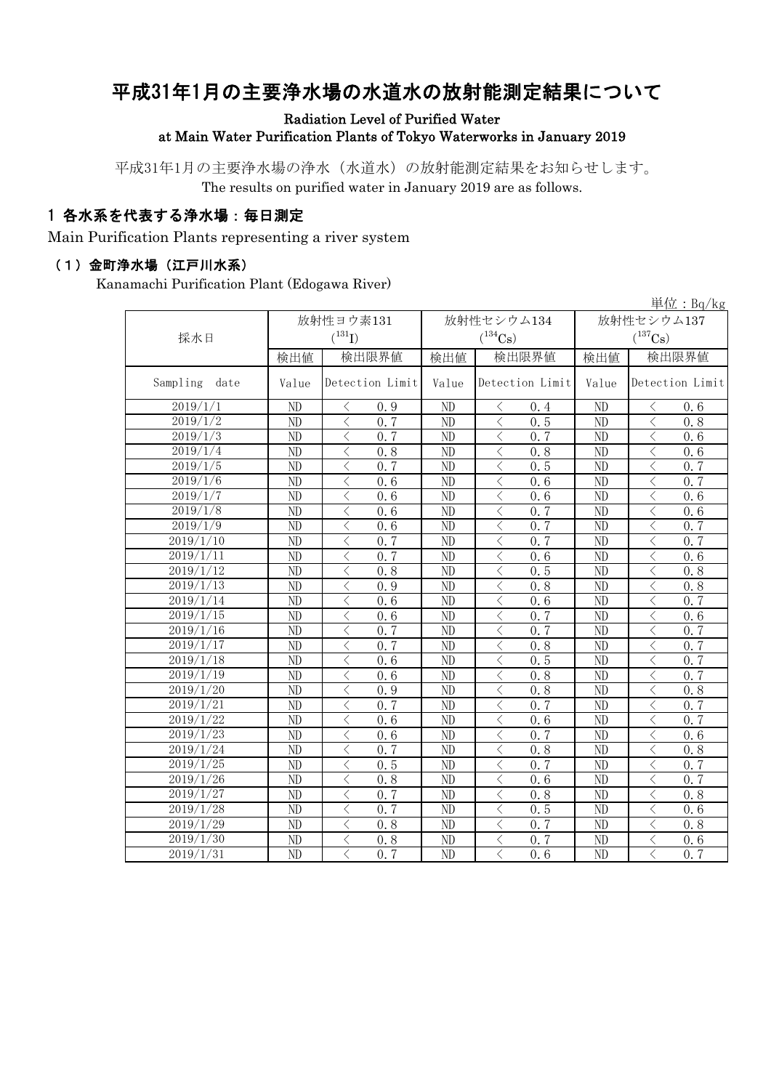# 平成31年1月の主要浄水場の水道水の放射能測定結果について

#### Radiation Level of Purified Water at Main Water Purification Plants of Tokyo Waterworks in January 2019

平成31年1月の主要浄水場の浄水(水道水)の放射能測定結果をお知らせします。 The results on purified water in January 2019 are as follows.

### 1 各水系を代表する浄水場:毎日測定

Main Purification Plants representing a river system

#### (1)金町浄水場(江戸川水系)

Kanamachi Purification Plant (Edogawa River)

|                    | 単位: $Bq/kg$ |                                                  |       |                                                  |            |                                                              |  |  |  |  |
|--------------------|-------------|--------------------------------------------------|-------|--------------------------------------------------|------------|--------------------------------------------------------------|--|--|--|--|
|                    | 放射性ヨウ素131   |                                                  |       | 放射性セシウム134                                       | 放射性セシウム137 |                                                              |  |  |  |  |
| 採水日                |             | $(^{131}I)$                                      |       | $(^{134}\mathrm{Cs})$                            |            | $(^{137}\mathrm{Cs})$                                        |  |  |  |  |
|                    | 検出値         | 検出限界値                                            | 検出値   | 検出限界値                                            | 検出値        | 検出限界値                                                        |  |  |  |  |
| Sampling<br>date   | Value       | Detection Limit                                  | Value | Detection Limit                                  | Value      | Detection Limit                                              |  |  |  |  |
| 2019/1/1           | ND          | ぐ<br>0.9                                         | ND    | 0.4<br>$\langle$                                 | ND         | ぐ<br>0.6                                                     |  |  |  |  |
| 2019/1/2           | ND          | $\lt$<br>0.7                                     | ND    | $\lt$<br>0.5                                     | ND         | $\lt$<br>0, 8                                                |  |  |  |  |
| 2019/1/3           | ND          | $\lt$<br>0, 7                                    | ND    | $\lt$<br>0, 7                                    | ND         | $\lt$<br>0.6                                                 |  |  |  |  |
| 2019/1/4           | ND          | $\lt$<br>0.8                                     | ND    | $\langle$<br>0.8                                 | ND         | $\langle$<br>0.6                                             |  |  |  |  |
| 2019/1/5           | ND          | $\lt$<br>0, 7                                    | ND    | 0.5<br>$\lt$                                     | ND         | $\langle$<br>0.7                                             |  |  |  |  |
| 2019/1/6           | ND          | $\lt$<br>0.6                                     | ND    | 0.6<br>$\lt$                                     | ND         | $\langle$<br>0, 7                                            |  |  |  |  |
| 2019/1/7           | ND          | $\lt$<br>0.6                                     | ND    | $\lt$<br>0.6                                     | ND         | $\lt$<br>0.6                                                 |  |  |  |  |
| $\frac{2019}{1/8}$ | ND          | $\lt$<br>0.6                                     | ND    | 0.7<br>$\lt$                                     | ND         | $\langle$<br>0.6                                             |  |  |  |  |
| 2019/1/9           | ND          | $\lt$<br>0.6                                     | ND    | $\lt$<br>0.7                                     | ND         | $\lt$<br>0.7                                                 |  |  |  |  |
| 2019/1/10          | ND          | $\lt$<br>0.7                                     | ND    | $\lt$<br>0, 7                                    | ND         | $\hspace{0.5cm}\mathopen{<}$<br>0, 7                         |  |  |  |  |
| $\frac{2019}{111}$ | ND          | $\lt$<br>0, 7                                    | ND    | $\lt$<br>0.6                                     | ND         | $\hspace{0.5cm}\mathopen{<}$<br>0.6                          |  |  |  |  |
| 2019/1/12          | ND          | $\lt$<br>0.8                                     | ND    | 0.5<br>$\langle$                                 | ND         | $\langle$<br>0.8                                             |  |  |  |  |
| 2019/1/13          | ND          | $\overline{\left\langle \right\rangle }$<br>0.9  | ND    | $\langle$<br>0.8                                 | ND         | $\langle$<br>0.8                                             |  |  |  |  |
| 2019/1/14          | ND          | $\overline{\left\langle \right\rangle }$<br>0, 6 | ND    | $\overline{\langle}$<br>0.6                      | ND         | $\overline{\left\langle \right\rangle }$<br>0, 7             |  |  |  |  |
| 2019/1/15          | ND          | $\overline{\left\langle \right\rangle }$<br>0.6  | ND    | $\overline{\langle}$<br>0, 7                     | ND         | $\langle$<br>0.6                                             |  |  |  |  |
| 2019/1/16          | ND          | $\overline{\left\langle \right\rangle }$<br>0.7  | ND    | $\overline{\left\langle \right\rangle }$<br>0, 7 | ND         | $\langle$<br>0, 7                                            |  |  |  |  |
| 2019/1/17          | ND          | $\overline{\left\langle \right\rangle }$<br>0.7  | ND    | $\langle$<br>0.8                                 | ND         | $\lt$<br>0, 7                                                |  |  |  |  |
| 2019/1/18          | ND          | $\overline{\left\langle \right\rangle }$<br>0, 6 | ND    | $\langle$<br>0.5                                 | ND         | $\lt$<br>0, 7                                                |  |  |  |  |
| 2019/1/19          | ND          | $\overline{\left\langle \right\rangle }$<br>0, 6 | ND    | $\overline{\langle}$<br>0.8                      | ND         | $\overline{\left\langle \right\rangle }$<br>$\overline{0.7}$ |  |  |  |  |
| 2019/1/20          | ND          | $\lt$<br>0.9                                     | ND    | $\lt$<br>0.8                                     | ND         | 0.8<br>$\langle$                                             |  |  |  |  |
| 2019/1/21          | ND          | 0.7<br>$\lt$                                     | ND    | 0, 7<br>$\lt$                                    | ND         | 0, 7<br>$\langle$                                            |  |  |  |  |
| 2019/1/22          | ND          | $\overline{\left\langle \right\rangle }$<br>0, 6 | ND    | $\lt$<br>0.6                                     | ND         | 0, 7<br>$\langle$                                            |  |  |  |  |
| 2019/1/23          | ND          | $\lt$<br>0.6                                     | ND    | 0, 7<br>$\lt$                                    | ND         | $\lt$<br>0, 6                                                |  |  |  |  |
| 2019/1/24          | ND          | $\lt$<br>0.7                                     | ND    | $\lt$<br>0.8                                     | ND         | $\lt$<br>0.8                                                 |  |  |  |  |
| 2019/1/25          | ND          | 0.5<br>$\lt$                                     | ND    | $\langle$<br>0.7                                 | ND         | 0.7<br>$\lt$                                                 |  |  |  |  |
| 2019/1/26          | ND          | $\lt$<br>0.8                                     | ND    | $\lt$<br>0.6                                     | ND         | 0.7<br>$\lt$                                                 |  |  |  |  |
| 2019/1/27          | ND          | $\overline{\left\langle \right\rangle }$<br>0.7  | ND    | $\overline{\left\langle \right\rangle }$<br>0.8  | ND         | $\lt$<br>0.8                                                 |  |  |  |  |
| 2019/1/28          | ND          | $\overline{\left\langle \right\rangle }$<br>0.7  | ND    | $\overline{\langle}$<br>0.5                      | ND         | $\langle$<br>0.6                                             |  |  |  |  |
| 2019/1/29          | ND          | $\overline{\left\langle \right\rangle }$<br>0.8  | ND    | $\overline{\langle}$<br>0.7                      | ND         | $\langle$<br>0.8                                             |  |  |  |  |
| 2019/1/30          | ND          | $\overline{\langle}$<br>0.8                      | ND    | $\overline{\langle}$<br>0.7                      | ND         | $\langle$<br>0.6                                             |  |  |  |  |
| 2019/1/31          | ND          | $\langle$<br>0.7                                 | ND    | $\langle$<br>0.6                                 | ND         | $\langle$<br>0.7                                             |  |  |  |  |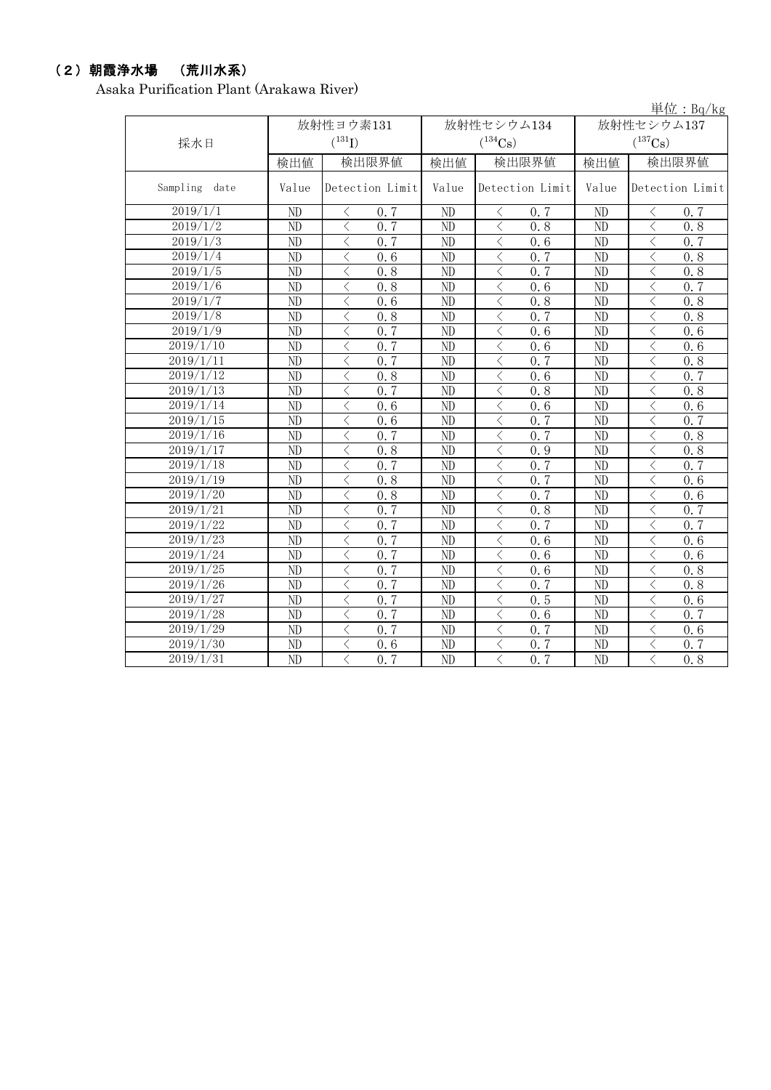### (2)朝霞浄水場 (荒川水系)

Asaka Purification Plant (Arakawa River)

|                        |                        |                                                                       |                        |                                                 |                       | 単位: $Bq/kg$                                      |  |  |
|------------------------|------------------------|-----------------------------------------------------------------------|------------------------|-------------------------------------------------|-----------------------|--------------------------------------------------|--|--|
|                        |                        | 放射性ヨウ素131                                                             |                        | 放射性セシウム134                                      | 放射性セシウム137            |                                                  |  |  |
| 採水日                    |                        | $(^{131}I)$                                                           |                        | $(^{134}Cs)$                                    | $(^{137}\mathrm{Cs})$ |                                                  |  |  |
|                        | 検出値                    | 検出限界値                                                                 | 検出値                    | 検出限界値                                           | 検出値                   | 検出限界値                                            |  |  |
| Sampling<br>date       | Value                  | Detection Limit                                                       | Value                  | Detection Limit                                 | Value                 | Detection Limit                                  |  |  |
| 2019/1/1               | ND                     | 0, 7<br>$\langle$                                                     | ND                     | $\langle$<br>0, 7                               | ND                    | 0.7<br>ぐ                                         |  |  |
| 2019/1/2               | ND                     | $\langle$<br>0.7                                                      | ND                     | $\lt$<br>0.8                                    | ND                    | $\lt$<br>0.8                                     |  |  |
| 2019/1/3               | ND                     | $\langle$<br>0, 7                                                     | ND                     | $\lt$<br>0, 6                                   | ND                    | $\lt$<br>0, 7                                    |  |  |
| 2019/1/4               | ND                     | $\langle$<br>0.6                                                      | ND                     | $\lt$<br>0.7                                    | ND                    | $\lt$<br>0.8                                     |  |  |
| 2019/1/5               | ND                     | $\lt$<br>0.8                                                          | ND                     | $\langle$<br>0, 7                               | ND                    | $\lt$<br>0.8                                     |  |  |
| 2019/1/6               | ND                     | $\lt$<br>0.8                                                          | ND                     | $\lt$<br>0.6                                    | ND                    | $\lt$<br>0.7                                     |  |  |
| 2019/1/7               | ND                     | $\langle$<br>0.6                                                      | $\overline{\text{ND}}$ | $\langle$<br>0.8                                | $\overline{ND}$       | $\overline{\left\langle \right\rangle }$<br>0.8  |  |  |
| 2019/1/8               | ND                     | $\overline{\left\langle \right\rangle }$<br>0, 8                      | ND                     | $\lt$<br>0.7                                    | ND                    | $\langle$<br>0, 8                                |  |  |
| 2019/1/9               | ND                     | $\overline{\langle}$<br>0.7                                           | $\overline{ND}$        | $\lt$<br>0.6                                    | $\overline{ND}$       | $\overline{\left\langle \right\rangle }$<br>0, 6 |  |  |
| 2019/1/10              | ND                     | $\lt$<br>0.7                                                          | ND                     | $\lt$<br>0.6                                    | ND                    | $\overline{\left\langle \right\rangle }$<br>0, 6 |  |  |
| 2019/1/11              | ND                     | $\overline{\langle}$<br>0.7                                           | ND                     | 0.7<br>$\langle$                                | $\overline{ND}$       | $\overline{\left\langle \right\rangle }$<br>0.8  |  |  |
| 2019/1/12              | $\overline{\text{ND}}$ | $\overline{\langle}$<br>0.8                                           | $\overline{ND}$        | $\overline{\left\langle \right\rangle }$<br>0.6 | $\overline{ND}$       | $\overline{\left\langle \right\rangle }$<br>0.7  |  |  |
| 2019/1/13              | N <sub>D</sub>         | $\overline{\left\langle \right\rangle }$<br>$\overline{0.7}$          | ND                     | $\langle$<br>0.8                                | N <sub>D</sub>        | $\overline{\left\langle \right\rangle }$<br>0, 8 |  |  |
| 2019/1/14              | ND                     | $\langle$<br>0.6                                                      | ND                     | $\lt$<br>0.6                                    | ND                    | $\overline{\left\langle \right\rangle }$<br>0, 6 |  |  |
| 2019/1/15              | N <sub>D</sub>         | $\langle$<br>0.6                                                      | ND                     | $\langle$<br>0, 7                               | ND                    | $\lt$<br>0, 7                                    |  |  |
| 2019/1/16              | ND                     | $\langle$<br>0.7                                                      | ND                     | $\lt$<br>0.7                                    | ND                    | $\langle$<br>0.8                                 |  |  |
| 2019/1/17              | ND                     | $\langle$<br>0.8                                                      | ND                     | $\langle$<br>0.9                                | ND                    | $\lt$<br>0.8                                     |  |  |
| 2019/1/18              | N <sub>D</sub>         | $\lt$<br>0.7                                                          | ND                     | $\langle$<br>0.7                                | ND                    | $\lt$<br>0, 7                                    |  |  |
| $\overline{2019}/1/19$ | ND                     | $\langle$<br>0.8                                                      | ND                     | $\lt$<br>0, 7                                   | ND                    | $\lt$<br>0.6                                     |  |  |
| 2019/1/20              | N <sub>D</sub>         | $\lt$<br>0.8                                                          | ND                     | $\langle$<br>$0, \overline{7}$                  | ND                    | $\lt$<br>0.6                                     |  |  |
| 2019/1/21              | ND                     | $\lt$<br>0.7                                                          | ND                     | $\lt$<br>0.8                                    | ND                    | $\lt$<br>0.7                                     |  |  |
| 2019/1/22              | ND                     | $\lt$<br>0.7                                                          | ND                     | 0, 7<br>$\lt$                                   | ND                    | 0.7<br>$\lt$                                     |  |  |
| 2019/1/23              | ND                     | $\lt$<br>0, 7                                                         | ND                     | $\lt$<br>0, 6                                   | ND                    | $\lt$<br>0, 6                                    |  |  |
| 2019/1/24              | ND                     | $\hspace{0.5cm}\raisebox{0.5ex}{\scriptsize <}\hspace{-0.5cm}$<br>0.7 | ND                     | $\lt$<br>0.6                                    | ND                    | $\lt$<br>0.6                                     |  |  |
| 2019/1/25              | ND                     | $\langle$<br>0.7                                                      | ND                     | $\lt$<br>0.6                                    | ND                    | $\hspace{0.5cm}\mathopen{<}$<br>0.8              |  |  |
| 2019/1/26              | ND                     | $\overline{\left\langle \right\rangle }$<br>0.7                       | ND                     | $\langle$<br>0, 7                               | ND                    | $\overline{\left\langle \right\rangle }$<br>0.8  |  |  |
| 2019/1/27              | ND                     | $\overline{\left\langle \right\rangle }$<br>0.7                       | ND                     | $\langle$<br>0.5                                | ND                    | $\lt$<br>0.6                                     |  |  |
| 2019/1/28              | ND                     | $\lt$<br>0.7                                                          | ND                     | $\langle$<br>0.6                                | ND                    | $\hspace{0.5cm}\mathopen{<}$<br>0, 7             |  |  |
| 2019/1/29              | ND                     | $\langle$<br>0.7                                                      | ND                     | $\lt$<br>0.7                                    | ND                    | $\lt$<br>0.6                                     |  |  |
| 2019/1/30              | ND                     | $\lt$<br>0.6                                                          | ND                     | $\langle$<br>0, 7                               | ND                    | $\lt$<br>0, 7                                    |  |  |
| 2019/1/31              | ND                     | $\langle$<br>0.7                                                      | ND                     | $\langle$<br>0, 7                               | ND                    | $\langle$<br>0.8                                 |  |  |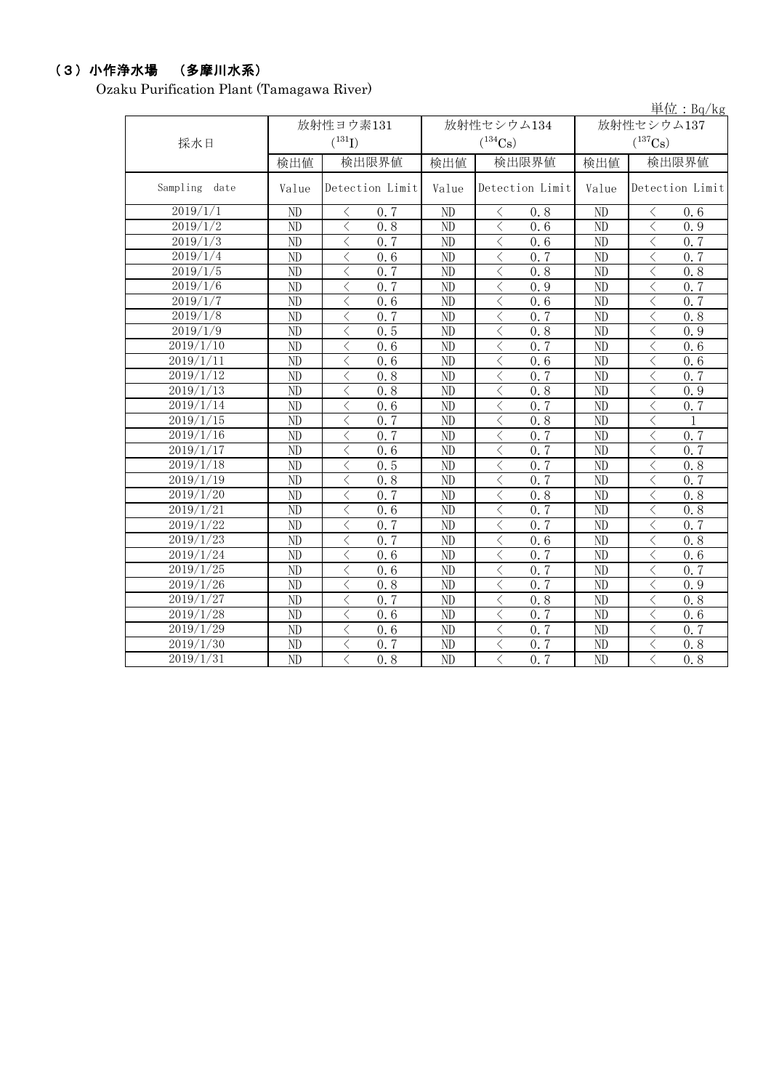## (3)小作浄水場 (多摩川水系)

Ozaku Purification Plant (Tamagawa River)

|                        |                        |                                                  |                        |                                                 |                        | 単位: $Bq/kg$                                                  |  |  |
|------------------------|------------------------|--------------------------------------------------|------------------------|-------------------------------------------------|------------------------|--------------------------------------------------------------|--|--|
|                        |                        | 放射性ヨウ素131                                        |                        | 放射性セシウム134                                      | 放射性セシウム137             |                                                              |  |  |
| 採水日                    |                        | $(^{131}I)$                                      |                        | $(^{134}Cs)$                                    | $(^{137}Cs)$           |                                                              |  |  |
|                        | 検出値                    | 検出限界値                                            | 検出値                    | 検出限界値                                           | 検出値                    | 検出限界値                                                        |  |  |
| Sampling<br>date       | Value                  | Detection Limit                                  | Value                  | Detection Limit                                 | Value                  | Detection Limit                                              |  |  |
| 2019/1/1               | ND                     | 0, 7<br>ぐ                                        | ND                     | 0.8<br>$\langle$                                | ND                     | ぐ<br>0.6                                                     |  |  |
| 2019/1/2               | ND                     | $\langle$<br>0.8                                 | ND                     | $\lt$<br>0.6                                    | ND                     | $\langle$<br>0.9                                             |  |  |
| 2019/1/3               | ND                     | $\langle$<br>0, 7                                | ND                     | $\lt$<br>0, 6                                   | ND                     | $\lt$<br>0.7                                                 |  |  |
| 2019/1/4               | ND                     | $\langle$<br>0.6                                 | ND                     | $\lt$<br>0.7                                    | ND                     | $\lt$<br>0.7                                                 |  |  |
| 2019/1/5               | ND                     | $\langle$<br>0.7                                 | ND                     | $\langle$<br>0.8                                | ND                     | $\lt$<br>0.8                                                 |  |  |
| 2019/1/6               | ND                     | $\lt$<br>0.7                                     | ND                     | $\lt$<br>0.9                                    | ND                     | $\langle$<br>0.7                                             |  |  |
| 2019/1/7               | ND                     | $\langle$<br>0, 6                                | $\overline{\text{ND}}$ | $\langle$<br>0, 6                               | $\overline{ND}$        | $\overline{\left\langle \right\rangle }$<br>0.7              |  |  |
| 2019/1/8               | ND                     | $\overline{\left\langle \right\rangle }$<br>0.7  | ND                     | $\lt$<br>0.7                                    | ND                     | $\langle$<br>0, 8                                            |  |  |
| 2019/1/9               | $\overline{ND}$        | $\overline{\langle}$<br>0.5                      | $\overline{ND}$        | $\lt$<br>0.8                                    | $\overline{ND}$        | $\overline{\left\langle \right\rangle }$<br>0.9              |  |  |
| 2019/1/10              | ND                     | $\lt$<br>0, 6                                    | ND                     | $\lt$<br>0, 7                                   | ND                     | $\overline{\left\langle \right\rangle }$<br>0, 6             |  |  |
| 2019/1/11              | ND                     | $\overline{\langle}$<br>0.6                      | $\overline{ND}$        | $\langle$<br>0.6                                | $\overline{\text{ND}}$ | $\overline{\left\langle \right\rangle }$<br>$0.\overline{6}$ |  |  |
| 2019/1/12              | $\overline{\text{ND}}$ | $\overline{\left\langle \right\rangle }$<br>0.8  | $\overline{ND}$        | $\overline{\left\langle \right\rangle }$<br>0.7 | $\overline{\text{ND}}$ | 0.7                                                          |  |  |
| 2019/1/13              | N <sub>D</sub>         | $\overline{\left\langle \right\rangle }$<br>0, 8 | ND                     | $\langle$<br>0.8                                | N <sub>D</sub>         | $\overline{\left\langle \right\rangle }$<br>0.9              |  |  |
| 2019/1/14              | ND                     | $\langle$<br>0.6                                 | ND                     | 0.7<br>$\lt$                                    | ND                     | $\overline{\left\langle \right\rangle }$<br>0.7              |  |  |
| 2019/1/15              | N <sub>D</sub>         | $\langle$<br>0.7                                 | ND                     | $\langle$<br>0.8                                | ND                     | $\hspace{0.5cm}\mathopen{<}$<br>$\mathbf{1}$                 |  |  |
| 2019/1/16              | ND                     | $\langle$<br>0.7                                 | ND                     | $\lt$<br>0.7                                    | ND                     | $\langle$<br>0.7                                             |  |  |
| 2019/1/17              | ND                     | $\langle$<br>0.6                                 | ND                     | $\lt$<br>0.7                                    | ND                     | $\lt$<br>0.7                                                 |  |  |
| 2019/1/18              | N <sub>D</sub>         | $\lt$<br>0, 5                                    | ND                     | $\langle$<br>0.7                                | ND                     | $\lt$<br>0, 8                                                |  |  |
| 2019/1/19              | ND                     | $\langle$<br>0.8                                 | ND                     | $\lt$<br>0, 7                                   | ND                     | $\lt$<br>0, 7                                                |  |  |
| $20\overline{19/1/20}$ | ND                     | $\lt$<br>$0, \overline{7}$                       | ND                     | $\langle$<br>0.8                                | ND                     | $\lt$<br>0, 8                                                |  |  |
| 2019/1/21              | ND                     | $\lt$<br>0.6                                     | ND                     | 0.7<br>$\lt$                                    | ND                     | $\lt$<br>0.8                                                 |  |  |
| 2019/1/22              | ND                     | $\lt$<br>0, 7                                    | ND                     | 0.7<br>$\lt$                                    | ND                     | $\lt$<br>0.7                                                 |  |  |
| 2019/1/23              | ND                     | $\lt$<br>0, 7                                    | ND                     | $\lt$<br>0.6                                    | ND                     | $\lt$<br>0, 8                                                |  |  |
| 2019/1/24              | ND                     | $\langle$<br>0.6                                 | ND                     | $\langle$<br>0.7                                | ND                     | $\lt$<br>0.6                                                 |  |  |
| 2019/1/25              | ND                     | $\langle$<br>0.6                                 | ND                     | $\langle$<br>0, 7                               | ND                     | $\hspace{0.5cm}\mathopen{<}$<br>0, 7                         |  |  |
| 2019/1/26              | ND                     | $\langle$<br>0.8                                 | ND                     | $\,$ $\,$ $\,$<br>0.7                           | ND                     | $\overline{\left\langle \right\rangle }$<br>0.9              |  |  |
| 2019/1/27              | ND                     | $\overline{\left\langle \right\rangle }$<br>0.7  | ND                     | $\langle$<br>0.8                                | ND                     | $\lt$<br>0.8                                                 |  |  |
| 2019/1/28              | ND                     | $\langle$<br>0.6                                 | ND                     | $\langle$<br>0, 7                               | ND                     | $\hspace{0.5cm}\mathopen{<}$<br>0.6                          |  |  |
| 2019/1/29              | ND                     | $\langle$<br>0.6                                 | ND                     | $\lt$<br>0.7                                    | ND                     | $\lt$<br>0.7                                                 |  |  |
| 2019/1/30              | ND                     | $\lt$<br>0.7                                     | ND                     | $\langle$<br>0, 7                               | ND                     | $\lt$<br>0.8                                                 |  |  |
| 2019/1/31              | ND                     | $\langle$<br>0.8                                 | $\overline{ND}$        | $\langle$<br>0, 7                               | $\overline{ND}$        | $\langle$<br>0.8                                             |  |  |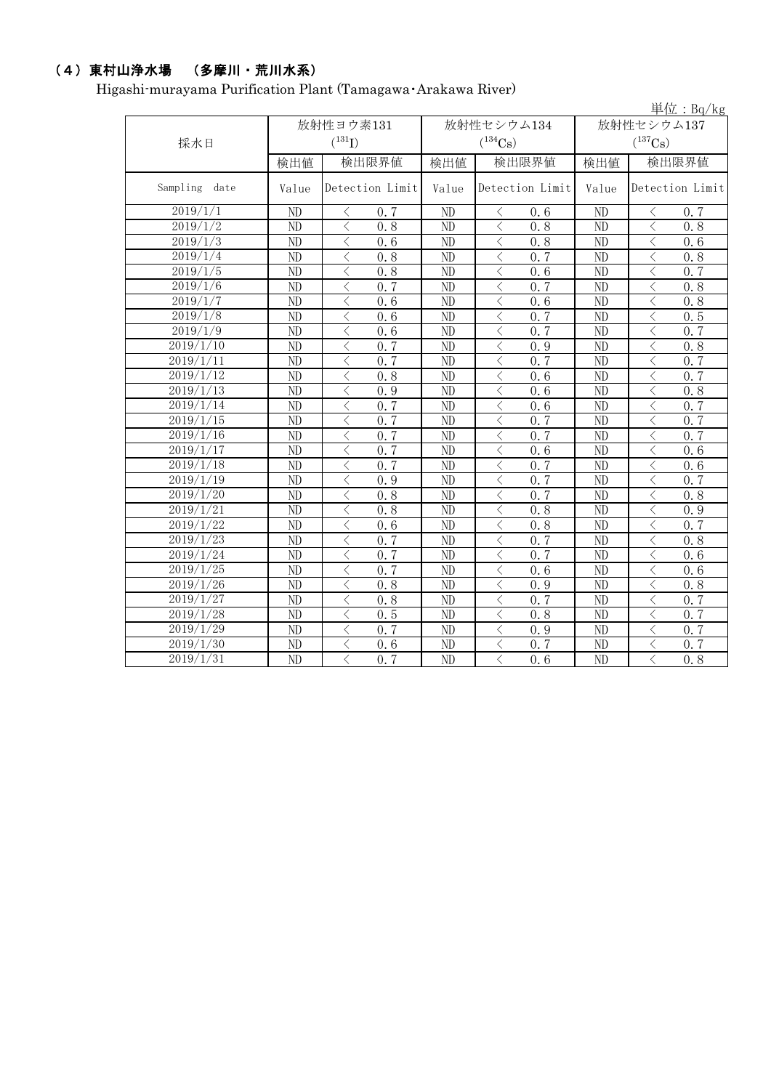## (4)東村山浄水場 (多摩川・荒川水系)

Higashi-murayama Purification Plant (Tamagawa・Arakawa River)

|                        |                 |                            |                 |                              |                                     | 単位: Bq/kg                    |  |  |
|------------------------|-----------------|----------------------------|-----------------|------------------------------|-------------------------------------|------------------------------|--|--|
|                        |                 | 放射性ヨウ素131<br>$(^{131}I)$   |                 | 放射性セシウム134                   | 放射性セシウム137<br>$(^{137}\mathrm{Cs})$ |                              |  |  |
| 採水日                    |                 |                            |                 | $(^{134}Cs)$                 |                                     |                              |  |  |
|                        | 検出値             | 検出限界値                      |                 | 検出限界値<br>検出値                 |                                     | 検出限界値<br>検出値                 |  |  |
| Sampling<br>date       | Value           | Detection Limit            | Value           | Detection Limit              | Value                               | Detection Limit              |  |  |
| 2019/1/1               | ND              | 0.7<br>$\langle$           | ND              | 0.6<br>$\lt$                 | ND                                  | 0.7<br>⟨                     |  |  |
| 2019/1/2               | ND              | $\lt$<br>0.8               | ND              | 0.8<br>$\lt$                 | ND                                  | $\lt$<br>0.8                 |  |  |
| 2019/1/3               | ND              | $\lt$<br>0.6               | ND              | $\langle$<br>0.8             | ND                                  | $\langle$<br>0.6             |  |  |
| 2019/1/4               | N <sub>D</sub>  | $\lt$<br>0.8               | ND              | $\langle$<br>0, 7            | ND                                  | $\lt$<br>0.8                 |  |  |
| 2019/1/5               | ND              | $\langle$<br>0.8           | $\overline{ND}$ | $\langle$<br>0.6             | $\overline{ND}$                     | $\langle$<br>0.7             |  |  |
| 2019/1/6               | ND              | $\lt$<br>0.7               | ND              | $\lt$<br>0.7                 | ND                                  | $\lt$<br>0.8                 |  |  |
| 2019/1/7               | ND              | $\langle$<br>0.6           | ND              | $\lt$<br>0.6                 | ND                                  | $\langle$<br>0.8             |  |  |
| 2019/1/8               | ND              | $\langle$<br>0, 6          | ND              | $\lt$<br>0, 7                | ND                                  | $\lt$<br>0, 5                |  |  |
| 2019/1/9               | ND              | $\langle$<br>0.6           | ND              | $\lt$<br>0, 7                | ND                                  | $\langle$<br>0, 7            |  |  |
| 2019/1/10              | ND              | $\lt$<br>0.7               | ND              | $\lt$<br>0.9                 | ND                                  | 0.8<br>$\langle$             |  |  |
| 2019/1/11              | ND              | $\langle$<br>0.7           | ND              | 0, 7<br>$\langle$            | ND                                  | $\lt$<br>0.7                 |  |  |
| 2019/1/12              | $\overline{ND}$ | $\langle$<br>0.8           | $\overline{ND}$ | $\langle$<br>0.6             | $\overline{ND}$                     | $\lt$<br>0, 7                |  |  |
| 2019/1/13              | N <sub>D</sub>  | $\langle$<br>0.9           | ND              | $\langle$<br>0.6             | N <sub>D</sub>                      | $\lt$<br>0.8                 |  |  |
| 2019/1/14              | $\overline{ND}$ | $\langle$<br>0.7           | $\overline{ND}$ | $\langle$<br>0.6             | $\overline{ND}$                     | $\overline{\langle}$<br>0, 7 |  |  |
| 2019/1/15              | N <sub>D</sub>  | $\langle$<br>0.7           | $\overline{ND}$ | $\langle$<br>0.7             | N <sub>D</sub>                      | $\langle$<br>0.7             |  |  |
| 2019/1/16              | ND              | $\lt$<br>$0.\overline{7}$  | ND              | $\overline{\langle}$<br>0, 7 | ND                                  | $\langle$<br>0, 7            |  |  |
| $\frac{2019}{1/17}$    | ND              | $0, \overline{7}$<br>$\lt$ | ND              | $\lt$<br>0.6                 | ND                                  | $\lt$<br>0.6                 |  |  |
| 2019/1/18              | ND              | $\langle$<br>0.7           | ND              | $\lt$<br>0.7                 | ND                                  | $\lt$<br>0.6                 |  |  |
| 2019/1/19              | ND              | $\langle$<br>0.9           | ND              | $\langle$<br>0, 7            | ND                                  | $\lt$<br>0, 7                |  |  |
| 2019/1/20              | ND              | $\langle$<br>0.8           | ND              | $\lt$<br>0, 7                | ND                                  | $\langle$<br>0.8             |  |  |
| 2019/1/21              | ND              | $\langle$<br>0.8           | ND              | $\langle$<br>0.8             | ND                                  | $\langle$<br>0.9             |  |  |
| $2019/1/\overline{22}$ | ND              | $\lt$<br>0.6               | ND              | $\lt$<br>0.8                 | ND                                  | 0.7<br>$\lt$                 |  |  |
| 2019/1/23              | ND              | $\lt$<br>0.7               | ND              | 0.7<br>$\lt$                 | ND                                  | 0.8<br>$\lt$                 |  |  |
| 2019/1/24              | ND              | $\lt$<br>0, 7              | ND              | 0, 7<br>$\lt$                | ND                                  | $\lt$<br>0, 6                |  |  |
| $2019/1/\overline{25}$ | ND              | $\lt$<br>0.7               | ND              | $\, \mathrel{<} \,$<br>0.6   | ND                                  | $\langle$<br>0.6             |  |  |
| 2019/1/26              | ND              | $\lt$<br>0.8               | ND              | $\langle$<br>0.9             | ND                                  | $\lt$<br>0.8                 |  |  |
| 2019/1/27              | ND              | $\langle$<br>0.8           | ND              | $\lt$<br>0.7                 | ND                                  | $\lt$<br>0.7                 |  |  |
| 2019/1/28              | ND              | $\lt$<br>0.5               | ND              | $\lt$<br>0.8                 | ND                                  | く<br>0.7                     |  |  |
| 2019/1/29              | ND              | 0.7<br>$\langle$           | ND              | $\lt$<br>0.9                 | ND                                  | $\lt$<br>0.7                 |  |  |
| 2019/1/30              | ND              | $\lt$<br>0.6               | ND              | $\lt$<br>0.7                 | ND                                  | $\langle$<br>0.7             |  |  |
| 2019/1/31              | $\overline{ND}$ | $\langle$<br>0.7           | $\overline{ND}$ | $\lt$<br>0.6                 | $\overline{ND}$                     | $\langle$<br>0.8             |  |  |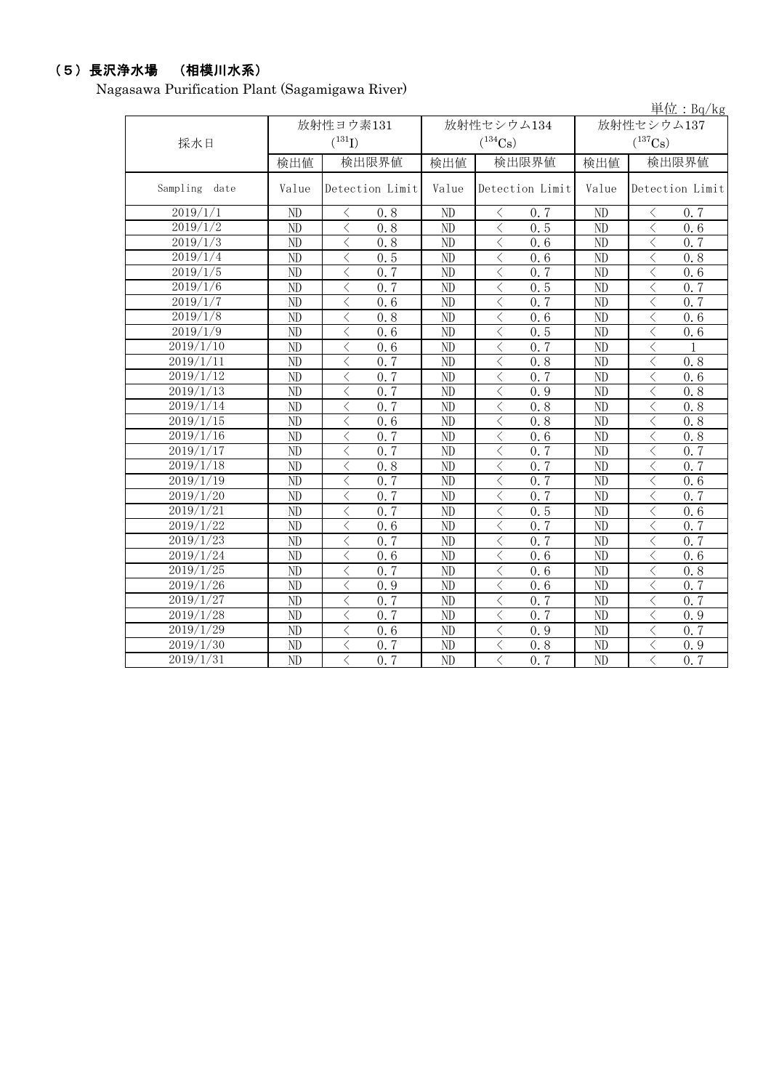## (5)長沢浄水場 (相模川水系)

Nagasawa Purification Plant (Sagamigawa River)

|                  |                        |                                                              |                 |                               |                                     | 単位: $Bq/kg$                                                  |  |
|------------------|------------------------|--------------------------------------------------------------|-----------------|-------------------------------|-------------------------------------|--------------------------------------------------------------|--|
| 採水日              |                        | 放射性ヨウ素131<br>$(^{131}I)$                                     |                 | 放射性セシウム134<br>$(^{134}Cs)$    | 放射性セシウム137<br>$(^{137}\mathrm{Cs})$ |                                                              |  |
|                  | 検出値                    | 検出限界値                                                        | 検出値             | 検出限界値                         | 検出値                                 | 検出限界値                                                        |  |
| Sampling<br>date | Value                  | Detection Limit                                              | Value           | Detection Limit               | Value                               | Detection Limit                                              |  |
| 2019/1/1         | ND                     | 0.8<br>$\langle$                                             | ND              | $\lt$<br>0.7                  | ND                                  | 0.7<br>く                                                     |  |
| 2019/1/2         | ND                     | $\lt$<br>0.8                                                 | ND              | 0.5<br>$\lt$                  | ND                                  | $\lt$<br>0.6                                                 |  |
| 2019/1/3         | ND                     | $\lt$<br>0.8                                                 | ND              | $\lt$<br>0, 6                 | ND                                  | $\lt$<br>0, 7                                                |  |
| 2019/1/4         | ND                     | $\lt$<br>0.5                                                 | ND              | $\lt$<br>0.6                  | ND                                  | $\lt$<br>0.8                                                 |  |
| 2019/1/5         | ND                     | 0.7<br>$\langle$                                             | ND              | $\langle$<br>0, 7             | ND                                  | 0, 6<br>$\lt$                                                |  |
| 2019/1/6         | ND                     | $\lt$<br>0.7                                                 | ND              | $\langle$<br>0.5              | ND                                  | $\lt$<br>0, 7                                                |  |
| 2019/1/7         | $\overline{\text{ND}}$ | $\overline{\left\langle \right\rangle }$<br>$\overline{0.6}$ | ND              | $\langle$<br>$\overline{0.7}$ | $\overline{ND}$                     | $\overline{\left\langle \right\rangle }$<br>$\overline{0.7}$ |  |
| 2019/1/8         | ND                     | $\langle$<br>0.8                                             | ND              | $\langle$<br>0.6              | ND                                  | $\lt$<br>0, 6                                                |  |
| 2019/1/9         | ND                     | 0.6<br>$\lt$                                                 | ND              | $\lt$<br>0.5                  | ND                                  | $\langle$<br>0.6                                             |  |
| 2019/1/10        | ND                     | $\langle$<br>0.6                                             | ND              | $\lt$<br>0, 7                 | ND                                  | $\lt$<br>$\mathbf{1}$                                        |  |
| 2019/1/11        | $\overline{ND}$        | 0.7<br>$\overline{\left\langle \right\rangle }$              | $\overline{ND}$ | $\langle$<br>0.8              | $\overline{ND}$                     | $\langle$<br>0.8                                             |  |
| 2019/1/12        | N <sub>D</sub>         | $\overline{\left\langle \right\rangle }$<br>0.7              | ND              | $\langle$<br>0, 7             | ND                                  | $\overline{\langle}$<br>0.6                                  |  |
| 2019/1/13        | N <sub>D</sub>         | $\overline{\left\langle \right\rangle }$<br>$0.\overline{7}$ | N <sub>D</sub>  | $\lt$<br>0.9                  | ND                                  | $\langle$<br>0, 8                                            |  |
| 2019/1/14        | $\overline{ND}$        | $\langle$<br>0.7                                             | $\overline{ND}$ | $\lt$<br>0.8                  | $\overline{\text{ND}}$              | $\overline{\left\langle \right\rangle }$<br>0.8              |  |
| 2019/1/15        | ND                     | $\lt$<br>0.6                                                 | ND              | $\lt$<br>0.8                  | ND                                  | $\langle$<br>0.8                                             |  |
| 2019/1/16        | ND                     | $\lt$<br>0.7                                                 | ND              | $\langle$<br>0.6              | ND                                  | $\langle$<br>0.8                                             |  |
| 2019/1/17        | ND                     | $\lt$<br>0.7                                                 | ND              | $\lt$<br>0, 7                 | ND                                  | $\lt$<br>0.7                                                 |  |
| 2019/1/18        | ND                     | $\lt$<br>0, 8                                                | ND              | $\langle$<br>0, 7             | ND                                  | $\lt$<br>0, 7                                                |  |
| 2019/1/19        | ND                     | $\langle$<br>0.7                                             | ND              | $\lt$<br>0.7                  | ND                                  | $\lt$<br>0.6                                                 |  |
| 2019/1/20        | ND                     | 0, 7<br>$\langle$                                            | ND              | 0, 7<br>$\langle$             | ND                                  | 0, 7<br>$\hspace{0.5cm}\mathopen{<}$                         |  |
| 2019/1/21        | ND                     | $\lt$<br>0.7                                                 | ND              | 0.5<br>$\lt$                  | ND                                  | $\hspace{0.5cm}\mathopen{<}$<br>0.6                          |  |
| 2019/1/22        | ND                     | $\langle$<br>0.6                                             | ND              | 0, 7<br>$\lt$                 | ND                                  | $\langle$<br>0, 7                                            |  |
| 2019/1/23        | ND                     | $\lt$<br>0, 7                                                | ND              | $\langle$<br>0, 7             | ND                                  | $\hspace{0.5cm}\mathopen{<}$<br>0, 7                         |  |
| 2019/1/24        | ND                     | $\overline{\left\langle \right\rangle }$<br>0.6              | ND              | $\langle$<br>0.6              | ND                                  | $\overline{\langle}$<br>0.6                                  |  |
| 2019/1/25        | ND                     | $\lt$<br>0.7                                                 | ND              | $\lt$<br>0.6                  | ND                                  | $\lt$<br>0.8                                                 |  |
| 2019/1/26        | ND                     | $\overline{\left\langle \right\rangle }$<br>0.9              | ND              | $\lt$<br>0.6                  | ND                                  | $\langle$<br>$0, \overline{7}$                               |  |
| 2019/1/27        | ND                     | $\lt$<br>0.7                                                 | ND              | $\lt$<br>0.7                  | ND                                  | $\lt$<br>0, 7                                                |  |
| 2019/1/28        | ND                     | $\lt$<br>0.7                                                 | ND              | $\lt$<br>0.7                  | ND                                  | $\lt$<br>0.9                                                 |  |
| 2019/1/29        | ND                     | $\langle$<br>0.6                                             | ND              | $\lt$<br>0.9                  | ND                                  | $\langle$<br>0, 7                                            |  |
| 2019/1/30        | ND                     | $\lt$<br>0.7                                                 | ND              | $\lt$<br>0.8                  | ND                                  | $\lt$<br>0.9                                                 |  |
| 2019/1/31        | ND                     | 0.7<br>$\langle$                                             | ND              | $\langle$<br>0.7              | ND                                  | $\overline{\left\langle \right\rangle }$<br>0.7              |  |